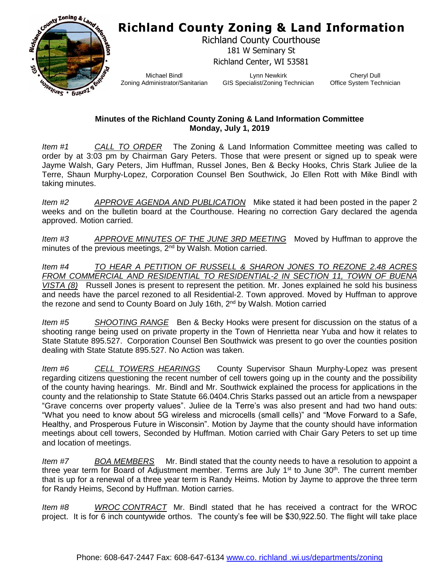## **Richland County Zoning & Land Information**



Richland County Courthouse 181 W Seminary St Richland Center, WI 53581

Michael Bindl Zoning Administrator/Sanitarian

Lynn Newkirk GIS Specialist/Zoning Technician

Cheryl Dull Office System Technician

## **Minutes of the Richland County Zoning & Land Information Committee Monday, July 1, 2019**

*Item #1 CALL TO ORDER* The Zoning & Land Information Committee meeting was called to order by at 3:03 pm by Chairman Gary Peters. Those that were present or signed up to speak were Jayme Walsh, Gary Peters, Jim Huffman, Russel Jones, Ben & Becky Hooks, Chris Stark Juliee de la Terre, Shaun Murphy-Lopez, Corporation Counsel Ben Southwick, Jo Ellen Rott with Mike Bindl with taking minutes.

*Item #2 APPROVE AGENDA AND PUBLICATION* Mike stated it had been posted in the paper 2 weeks and on the bulletin board at the Courthouse. Hearing no correction Gary declared the agenda approved. Motion carried.

*Item #3 APPROVE MINUTES OF THE JUNE 3RD MEETING* Moved by Huffman to approve the minutes of the previous meetings, 2<sup>nd</sup> by Walsh. Motion carried.

*Item #4 TO HEAR A PETITION OF RUSSELL & SHARON JONES TO REZONE 2.48 ACRES FROM COMMERCIAL AND RESIDENTIAL TO RESIDENTIAL-2 IN SECTION 11, TOWN OF BUENA VISTA (8)* Russell Jones is present to represent the petition. Mr. Jones explained he sold his business and needs have the parcel rezoned to all Residential-2. Town approved. Moved by Huffman to approve the rezone and send to County Board on July 16th, 2<sup>nd</sup> by Walsh. Motion carried

*Item #5 SHOOTING RANGE* Ben & Becky Hooks were present for discussion on the status of a shooting range being used on private property in the Town of Henrietta near Yuba and how it relates to State Statute 895.527. Corporation Counsel Ben Southwick was present to go over the counties position dealing with State Statute 895.527. No Action was taken.

*Item #6 CELL TOWERS HEARINGS* County Supervisor Shaun Murphy-Lopez was present regarding citizens questioning the recent number of cell towers going up in the county and the possibility of the county having hearings. Mr. Bindl and Mr. Southwick explained the process for applications in the county and the relationship to State Statute 66.0404.Chris Starks passed out an article from a newspaper "Grave concerns over property values". Juliee de la Terre's was also present and had two hand outs: "What you need to know about 5G wireless and microcells (small cells)" and "Move Forward to a Safe, Healthy, and Prosperous Future in Wisconsin". Motion by Jayme that the county should have information meetings about cell towers, Seconded by Huffman. Motion carried with Chair Gary Peters to set up time and location of meetings.

*Item #7 BOA MEMBERS* Mr. Bindl stated that the county needs to have a resolution to appoint a three year term for Board of Adjustment member. Terms are July 1<sup>st</sup> to June 30<sup>th</sup>. The current member that is up for a renewal of a three year term is Randy Heims. Motion by Jayme to approve the three term for Randy Heims, Second by Huffman. Motion carries.

*Item #8 WROC CONTRACT* Mr. Bindl stated that he has received a contract for the WROC project. It is for 6 inch countywide orthos. The county's fee will be \$30,922.50. The flight will take place